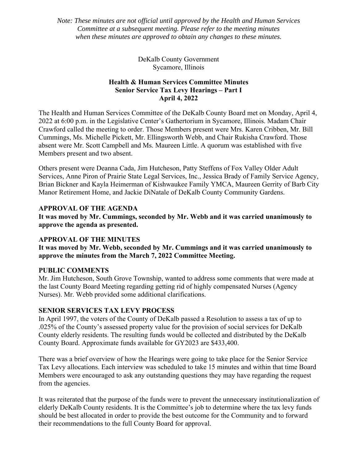*Note: These minutes are not official until approved by the Health and Human Services Committee at a subsequent meeting. Please refer to the meeting minutes when these minutes are approved to obtain any changes to these minutes.* 

> DeKalb County Government Sycamore, Illinois

## **Health & Human Services Committee Minutes Senior Service Tax Levy Hearings – Part I April 4, 2022**

The Health and Human Services Committee of the DeKalb County Board met on Monday, April 4, 2022 at 6:00 p.m. in the Legislative Center's Gathertorium in Sycamore, Illinois. Madam Chair Crawford called the meeting to order. Those Members present were Mrs. Karen Cribben, Mr. Bill Cummings, Ms. Michelle Pickett, Mr. Ellingsworth Webb, and Chair Rukisha Crawford. Those absent were Mr. Scott Campbell and Ms. Maureen Little. A quorum was established with five Members present and two absent.

Others present were Deanna Cada, Jim Hutcheson, Patty Steffens of Fox Valley Older Adult Services, Anne Piron of Prairie State Legal Services, Inc., Jessica Brady of Family Service Agency, Brian Bickner and Kayla Heimerman of Kishwaukee Family YMCA, Maureen Gerrity of Barb City Manor Retirement Home, and Jackie DiNatale of DeKalb County Community Gardens.

## **APPROVAL OF THE AGENDA**

**It was moved by Mr. Cummings, seconded by Mr. Webb and it was carried unanimously to approve the agenda as presented.** 

## **APPROVAL OF THE MINUTES**

**It was moved by Mr. Webb, seconded by Mr. Cummings and it was carried unanimously to approve the minutes from the March 7, 2022 Committee Meeting.** 

#### **PUBLIC COMMENTS**

Mr. Jim Hutcheson, South Grove Township, wanted to address some comments that were made at the last County Board Meeting regarding getting rid of highly compensated Nurses (Agency Nurses). Mr. Webb provided some additional clarifications.

#### **SENIOR SERVICES TAX LEVY PROCESS**

In April 1997, the voters of the County of DeKalb passed a Resolution to assess a tax of up to .025% of the County's assessed property value for the provision of social services for DeKalb County elderly residents. The resulting funds would be collected and distributed by the DeKalb County Board. Approximate funds available for GY2023 are \$433,400.

There was a brief overview of how the Hearings were going to take place for the Senior Service Tax Levy allocations. Each interview was scheduled to take 15 minutes and within that time Board Members were encouraged to ask any outstanding questions they may have regarding the request from the agencies.

It was reiterated that the purpose of the funds were to prevent the unnecessary institutionalization of elderly DeKalb County residents. It is the Committee's job to determine where the tax levy funds should be best allocated in order to provide the best outcome for the Community and to forward their recommendations to the full County Board for approval.